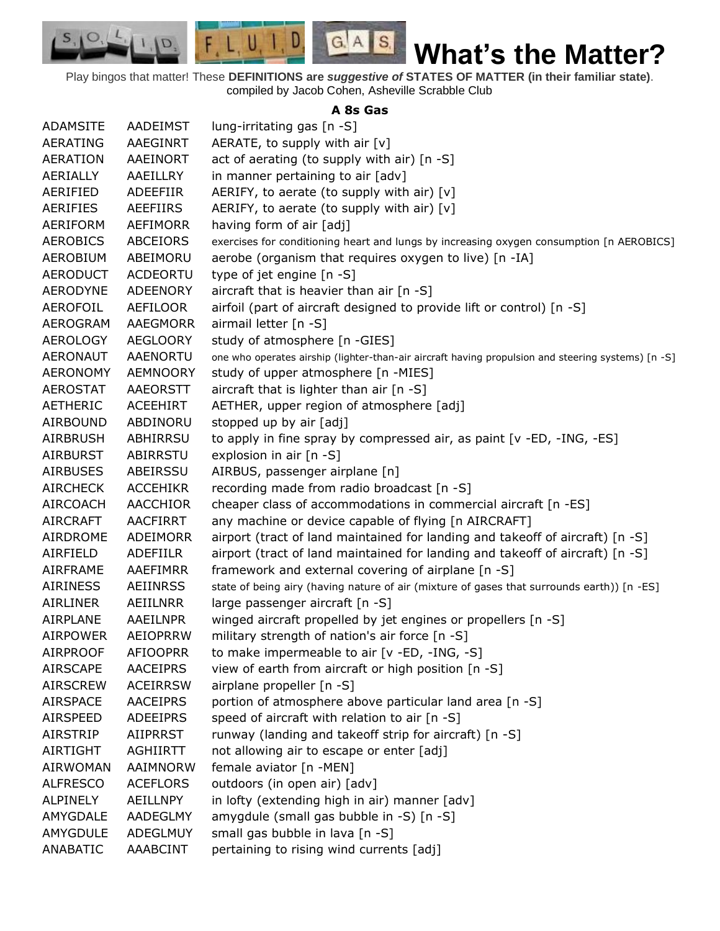Play bingos that matter! These **DEFINITIONS are** *suggestive of* **STATES OF MATTER (in their familiar state)**. compiled by Jacob Cohen, Asheville Scrabble Club

 $G.A.S.$ 

 $F, L, U, I, D$ 

D.

 $S_{1}$  $\circ$ 

## **A 8s Gas**

| <b>ADAMSITE</b> | <b>AADEIMST</b> | lung-irritating gas $[n - S]$                                                                      |
|-----------------|-----------------|----------------------------------------------------------------------------------------------------|
| <b>AERATING</b> | AAEGINRT        | AERATE, to supply with air [v]                                                                     |
| <b>AERATION</b> | AAEINORT        | act of aerating (to supply with air) [n -S]                                                        |
| AERIALLY        | AAEILLRY        | in manner pertaining to air [adv]                                                                  |
| AERIFIED        | <b>ADEEFIIR</b> | AERIFY, to aerate (to supply with air) [v]                                                         |
| AERIFIES        | AEEFIIRS        | AERIFY, to aerate (to supply with air) $[v]$                                                       |
| AERIFORM        | <b>AEFIMORR</b> | having form of air [adj]                                                                           |
| <b>AEROBICS</b> | <b>ABCEIORS</b> | exercises for conditioning heart and lungs by increasing oxygen consumption [n AEROBICS]           |
| <b>AEROBIUM</b> | ABEIMORU        | aerobe (organism that requires oxygen to live) [n -IA]                                             |
| <b>AERODUCT</b> | <b>ACDEORTU</b> | type of jet engine [n -S]                                                                          |
| <b>AERODYNE</b> | <b>ADEENORY</b> | aircraft that is heavier than air [n -S]                                                           |
| AEROFOIL        | AEFILOOR        | airfoil (part of aircraft designed to provide lift or control) [n -S]                              |
| AEROGRAM        | AAEGMORR        | airmail letter [n -S]                                                                              |
| AEROLOGY        | <b>AEGLOORY</b> | study of atmosphere [n -GIES]                                                                      |
| <b>AERONAUT</b> | <b>AAENORTU</b> | one who operates airship (lighter-than-air aircraft having propulsion and steering systems) [n -S] |
| <b>AERONOMY</b> | <b>AEMNOORY</b> | study of upper atmosphere [n -MIES]                                                                |
| AEROSTAT        | AAEORSTT        | aircraft that is lighter than air $[n -S]$                                                         |
| <b>AETHERIC</b> | <b>ACEEHIRT</b> | AETHER, upper region of atmosphere [adj]                                                           |
| <b>AIRBOUND</b> | ABDINORU        | stopped up by air [adj]                                                                            |
| <b>AIRBRUSH</b> | ABHIRRSU        | to apply in fine spray by compressed air, as paint [v -ED, -ING, -ES]                              |
| <b>AIRBURST</b> | ABIRRSTU        | explosion in air [n -S]                                                                            |
| <b>AIRBUSES</b> | ABEIRSSU        | AIRBUS, passenger airplane [n]                                                                     |
| <b>AIRCHECK</b> | <b>ACCEHIKR</b> | recording made from radio broadcast [n -S]                                                         |
| <b>AIRCOACH</b> | <b>AACCHIOR</b> | cheaper class of accommodations in commercial aircraft [n -ES]                                     |
| <b>AIRCRAFT</b> | <b>AACFIRRT</b> | any machine or device capable of flying [n AIRCRAFT]                                               |
| AIRDROME        | ADEIMORR        | airport (tract of land maintained for landing and takeoff of aircraft) [n -S]                      |
| AIRFIELD        | <b>ADEFIILR</b> | airport (tract of land maintained for landing and takeoff of aircraft) [n -S]                      |
| <b>AIRFRAME</b> | AAEFIMRR        | framework and external covering of airplane [n -S]                                                 |
| <b>AIRINESS</b> | <b>AEIINRSS</b> | state of being airy (having nature of air (mixture of gases that surrounds earth)) [n -ES]         |
| <b>AIRLINER</b> | AEIILNRR        | large passenger aircraft [n -S]                                                                    |
| AIRPLANE        | <b>AAEILNPR</b> | winged aircraft propelled by jet engines or propellers [n -S]                                      |
| <b>AIRPOWER</b> | <b>AEIOPRRW</b> | military strength of nation's air force [n -S]                                                     |
| <b>AIRPROOF</b> | <b>AFIOOPRR</b> | to make impermeable to air [v -ED, -ING, -S]                                                       |
| <b>AIRSCAPE</b> | <b>AACEIPRS</b> | view of earth from aircraft or high position [n -S]                                                |
| <b>AIRSCREW</b> | <b>ACEIRRSW</b> | airplane propeller [n -S]                                                                          |
| <b>AIRSPACE</b> | <b>AACEIPRS</b> | portion of atmosphere above particular land area [n -S]                                            |
| <b>AIRSPEED</b> | <b>ADEEIPRS</b> | speed of aircraft with relation to air [n -S]                                                      |
| <b>AIRSTRIP</b> | <b>AIIPRRST</b> | runway (landing and takeoff strip for aircraft) [n -S]                                             |
| <b>AIRTIGHT</b> | <b>AGHIIRTT</b> | not allowing air to escape or enter [adj]                                                          |
| <b>AIRWOMAN</b> | AAIMNORW        | female aviator [n -MEN]                                                                            |
| <b>ALFRESCO</b> | <b>ACEFLORS</b> | outdoors (in open air) [adv]                                                                       |
| ALPINELY        | AEILLNPY        | in lofty (extending high in air) manner [adv]                                                      |
| AMYGDALE        | <b>AADEGLMY</b> | amygdule (small gas bubble in -S) [n -S]                                                           |
| AMYGDULE        | ADEGLMUY        | small gas bubble in lava [n -S]                                                                    |
| ANABATIC        | AAABCINT        | pertaining to rising wind currents [adj]                                                           |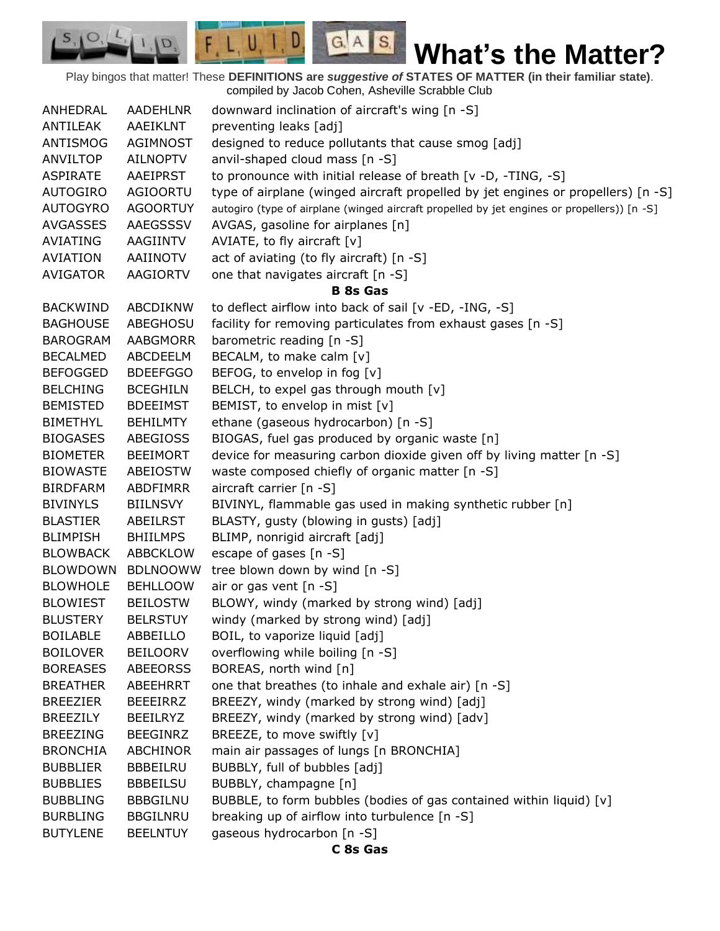Play bingos that matter! These **DEFINITIONS are** *suggestive of* **STATES OF MATTER (in their familiar state)**. compiled by Jacob Cohen, Asheville Scrabble Club

 $G.A.S.$ 

 $F, L, U, I, D$ 

D.

| ANHEDRAL        | <b>AADEHLNR</b> | downward inclination of aircraft's wing [n -S]                                              |
|-----------------|-----------------|---------------------------------------------------------------------------------------------|
| ANTILEAK        | AAEIKLNT        | preventing leaks [adj]                                                                      |
| ANTISMOG        | <b>AGIMNOST</b> | designed to reduce pollutants that cause smog [adj]                                         |
| <b>ANVILTOP</b> | <b>AILNOPTV</b> | anvil-shaped cloud mass [n -S]                                                              |
| <b>ASPIRATE</b> | AAEIPRST        | to pronounce with initial release of breath [v -D, -TING, -S]                               |
| <b>AUTOGIRO</b> | <b>AGIOORTU</b> | type of airplane (winged aircraft propelled by jet engines or propellers) [n -S]            |
| <b>AUTOGYRO</b> | <b>AGOORTUY</b> | autogiro (type of airplane (winged aircraft propelled by jet engines or propellers)) [n -S] |
| <b>AVGASSES</b> | AAEGSSSV        | AVGAS, gasoline for airplanes [n]                                                           |
| <b>AVIATING</b> | AAGIINTV        | AVIATE, to fly aircraft $[v]$                                                               |
| <b>AVIATION</b> | AAIINOTV        | act of aviating (to fly aircraft) [n -S]                                                    |
| <b>AVIGATOR</b> | AAGIORTV        | one that navigates aircraft [n -S]                                                          |
|                 |                 | <b>B</b> 8s Gas                                                                             |
| <b>BACKWIND</b> | ABCDIKNW        | to deflect airflow into back of sail [v -ED, -ING, -S]                                      |
| <b>BAGHOUSE</b> | ABEGHOSU        | facility for removing particulates from exhaust gases [n -S]                                |
| <b>BAROGRAM</b> | <b>AABGMORR</b> | barometric reading [n -S]                                                                   |
| <b>BECALMED</b> | ABCDEELM        | BECALM, to make calm [v]                                                                    |
| <b>BEFOGGED</b> | <b>BDEEFGGO</b> | BEFOG, to envelop in fog [v]                                                                |
| <b>BELCHING</b> | <b>BCEGHILN</b> | BELCH, to expel gas through mouth [v]                                                       |
| <b>BEMISTED</b> | <b>BDEEIMST</b> | BEMIST, to envelop in mist [v]                                                              |
| <b>BIMETHYL</b> | <b>BEHILMTY</b> | ethane (gaseous hydrocarbon) [n -S]                                                         |
| <b>BIOGASES</b> | <b>ABEGIOSS</b> | BIOGAS, fuel gas produced by organic waste [n]                                              |
| <b>BIOMETER</b> | <b>BEEIMORT</b> | device for measuring carbon dioxide given off by living matter [n -S]                       |
| <b>BIOWASTE</b> | ABEIOSTW        | waste composed chiefly of organic matter [n -S]                                             |
| <b>BIRDFARM</b> | <b>ABDFIMRR</b> | aircraft carrier [n -S]                                                                     |
| <b>BIVINYLS</b> | <b>BIILNSVY</b> | BIVINYL, flammable gas used in making synthetic rubber [n]                                  |
| <b>BLASTIER</b> | ABEILRST        | BLASTY, gusty (blowing in gusts) [adj]                                                      |
| <b>BLIMPISH</b> | <b>BHIILMPS</b> | BLIMP, nonrigid aircraft [adj]                                                              |
| <b>BLOWBACK</b> | <b>ABBCKLOW</b> | escape of gases [n -S]                                                                      |
| <b>BLOWDOWN</b> | <b>BDLNOOWW</b> | tree blown down by wind [n -S]                                                              |
| <b>BLOWHOLE</b> | <b>BEHLLOOW</b> | air or gas vent [n -S]                                                                      |
| <b>BLOWIEST</b> | <b>BEILOSTW</b> | BLOWY, windy (marked by strong wind) [adj]                                                  |
| <b>BLUSTERY</b> | <b>BELRSTUY</b> | windy (marked by strong wind) [adj]                                                         |
| <b>BOILABLE</b> | ABBEILLO        | BOIL, to vaporize liquid [adj]                                                              |
| <b>BOILOVER</b> | <b>BEILOORV</b> | overflowing while boiling [n -S]                                                            |
| <b>BOREASES</b> | <b>ABEEORSS</b> | BOREAS, north wind [n]                                                                      |
| <b>BREATHER</b> | ABEEHRRT        | one that breathes (to inhale and exhale air) [n -S]                                         |
| <b>BREEZIER</b> | <b>BEEEIRRZ</b> | BREEZY, windy (marked by strong wind) [adj]                                                 |
| <b>BREEZILY</b> | <b>BEEILRYZ</b> | BREEZY, windy (marked by strong wind) [adv]                                                 |
| <b>BREEZING</b> | <b>BEEGINRZ</b> | BREEZE, to move swiftly [v]                                                                 |
| <b>BRONCHIA</b> | ABCHINOR        | main air passages of lungs [n BRONCHIA]                                                     |
| <b>BUBBLIER</b> | BBBEILRU        | BUBBLY, full of bubbles [adj]                                                               |
| <b>BUBBLIES</b> | <b>BBBEILSU</b> | BUBBLY, champagne [n]                                                                       |
| <b>BUBBLING</b> | <b>BBBGILNU</b> | BUBBLE, to form bubbles (bodies of gas contained within liquid) [v]                         |
| <b>BURBLING</b> | <b>BBGILNRU</b> | breaking up of airflow into turbulence [n -S]                                               |
| <b>BUTYLENE</b> | <b>BEELNTUY</b> | gaseous hydrocarbon [n -S]                                                                  |
|                 |                 | C 8s Gas                                                                                    |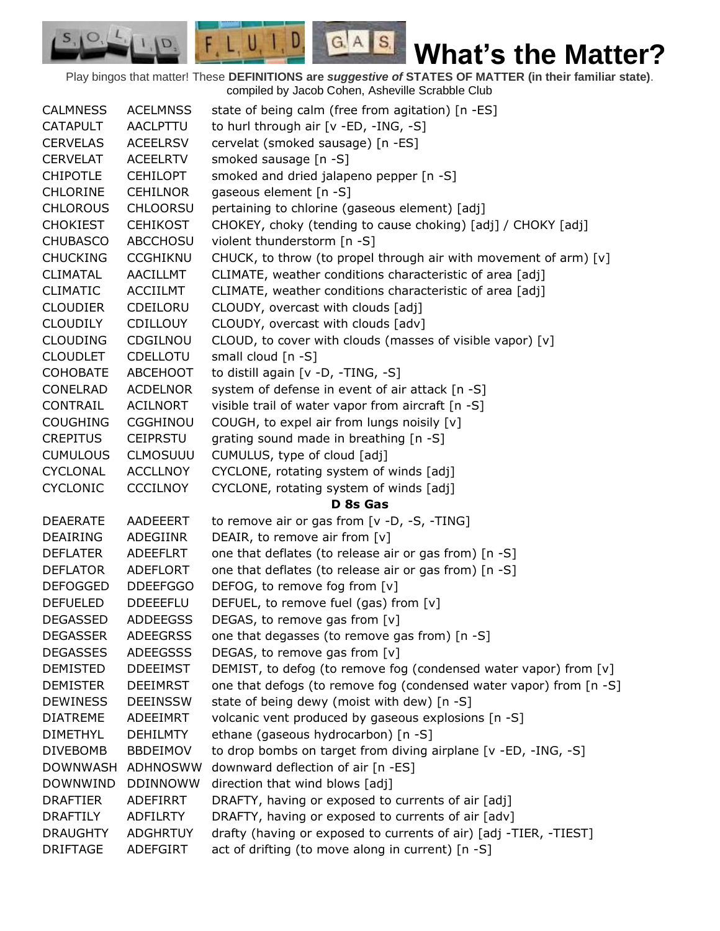Play bingos that matter! These **DEFINITIONS are** *suggestive of* **STATES OF MATTER (in their familiar state)**. compiled by Jacob Cohen, Asheville Scrabble Club

 $G.A.S.$ 

 $F, L, U, I, D$ 

D.

| <b>CALMNESS</b> | <b>ACELMNSS</b> | state of being calm (free from agitation) [n -ES]                  |
|-----------------|-----------------|--------------------------------------------------------------------|
| <b>CATAPULT</b> | <b>AACLPTTU</b> | to hurl through air [v -ED, -ING, -S]                              |
| <b>CERVELAS</b> | <b>ACEELRSV</b> | cervelat (smoked sausage) [n -ES]                                  |
| CERVELAT        | <b>ACEELRTV</b> | smoked sausage [n -S]                                              |
| <b>CHIPOTLE</b> | <b>CEHILOPT</b> | smoked and dried jalapeno pepper [n -S]                            |
| <b>CHLORINE</b> | <b>CEHILNOR</b> | gaseous element [n -S]                                             |
| <b>CHLOROUS</b> | <b>CHLOORSU</b> | pertaining to chlorine (gaseous element) [adj]                     |
| <b>CHOKIEST</b> | <b>CEHIKOST</b> | CHOKEY, choky (tending to cause choking) [adj] / CHOKY [adj]       |
| <b>CHUBASCO</b> | <b>ABCCHOSU</b> | violent thunderstorm [n -S]                                        |
| <b>CHUCKING</b> | <b>CCGHIKNU</b> | CHUCK, to throw (to propel through air with movement of arm) [v]   |
| <b>CLIMATAL</b> | AACILLMT        | CLIMATE, weather conditions characteristic of area [adj]           |
| <b>CLIMATIC</b> | <b>ACCIILMT</b> | CLIMATE, weather conditions characteristic of area [adj]           |
| <b>CLOUDIER</b> | CDEILORU        | CLOUDY, overcast with clouds [adj]                                 |
| CLOUDILY        | <b>CDILLOUY</b> | CLOUDY, overcast with clouds [adv]                                 |
| <b>CLOUDING</b> | CDGILNOU        | CLOUD, to cover with clouds (masses of visible vapor) [v]          |
| <b>CLOUDLET</b> | <b>CDELLOTU</b> | small cloud $[n -S]$                                               |
| <b>COHOBATE</b> | <b>ABCEHOOT</b> | to distill again [v -D, -TING, -S]                                 |
| CONELRAD        | <b>ACDELNOR</b> | system of defense in event of air attack [n -S]                    |
| CONTRAIL        | <b>ACILNORT</b> | visible trail of water vapor from aircraft [n -S]                  |
| <b>COUGHING</b> | <b>CGGHINOU</b> | COUGH, to expel air from lungs noisily [v]                         |
| <b>CREPITUS</b> | <b>CEIPRSTU</b> | grating sound made in breathing [n -S]                             |
| <b>CUMULOUS</b> | <b>CLMOSUUU</b> | CUMULUS, type of cloud [adj]                                       |
| <b>CYCLONAL</b> | <b>ACCLLNOY</b> | CYCLONE, rotating system of winds [adj]                            |
| <b>CYCLONIC</b> | <b>CCCILNOY</b> | CYCLONE, rotating system of winds [adj]                            |
|                 |                 | D 8s Gas                                                           |
| <b>DEAERATE</b> | AADEEERT        | to remove air or gas from [v -D, -S, -TING]                        |
| DEAIRING        | ADEGIINR        | DEAIR, to remove air from [v]                                      |
| <b>DEFLATER</b> | <b>ADEEFLRT</b> | one that deflates (to release air or gas from) [n -S]              |
| <b>DEFLATOR</b> | ADEFLORT        | one that deflates (to release air or gas from) [n -S]              |
| <b>DEFOGGED</b> | <b>DDEEFGGO</b> | DEFOG, to remove fog from [v]                                      |
| <b>DEFUELED</b> | <b>DDEEEFLU</b> | DEFUEL, to remove fuel (gas) from [v]                              |
| <b>DEGASSED</b> | <b>ADDEEGSS</b> | DEGAS, to remove gas from [v]                                      |
| <b>DEGASSER</b> | <b>ADEEGRSS</b> | one that degasses (to remove gas from) [n -S]                      |
| <b>DEGASSES</b> | <b>ADEEGSSS</b> | DEGAS, to remove gas from [v]                                      |
| <b>DEMISTED</b> | <b>DDEEIMST</b> | DEMIST, to defog (to remove fog (condensed water vapor) from [v]   |
| <b>DEMISTER</b> | <b>DEEIMRST</b> | one that defogs (to remove fog (condensed water vapor) from [n -S] |
| <b>DEWINESS</b> | <b>DEEINSSW</b> | state of being dewy (moist with dew) [n -S]                        |
| <b>DIATREME</b> | ADEEIMRT        | volcanic vent produced by gaseous explosions [n -S]                |
| <b>DIMETHYL</b> | <b>DEHILMTY</b> | ethane (gaseous hydrocarbon) [n -S]                                |
| <b>DIVEBOMB</b> | <b>BBDEIMOV</b> | to drop bombs on target from diving airplane [v -ED, -ING, -S]     |
| <b>DOWNWASH</b> | ADHNOSWW        | downward deflection of air [n -ES]                                 |
| <b>DOWNWIND</b> | <b>DDINNOWW</b> | direction that wind blows [adj]                                    |
| <b>DRAFTIER</b> | <b>ADEFIRRT</b> | DRAFTY, having or exposed to currents of air [adj]                 |
| <b>DRAFTILY</b> | <b>ADFILRTY</b> | DRAFTY, having or exposed to currents of air [adv]                 |
| <b>DRAUGHTY</b> | <b>ADGHRTUY</b> | drafty (having or exposed to currents of air) [adj -TIER, -TIEST]  |
| <b>DRIFTAGE</b> | ADEFGIRT        | act of drifting (to move along in current) [n -S]                  |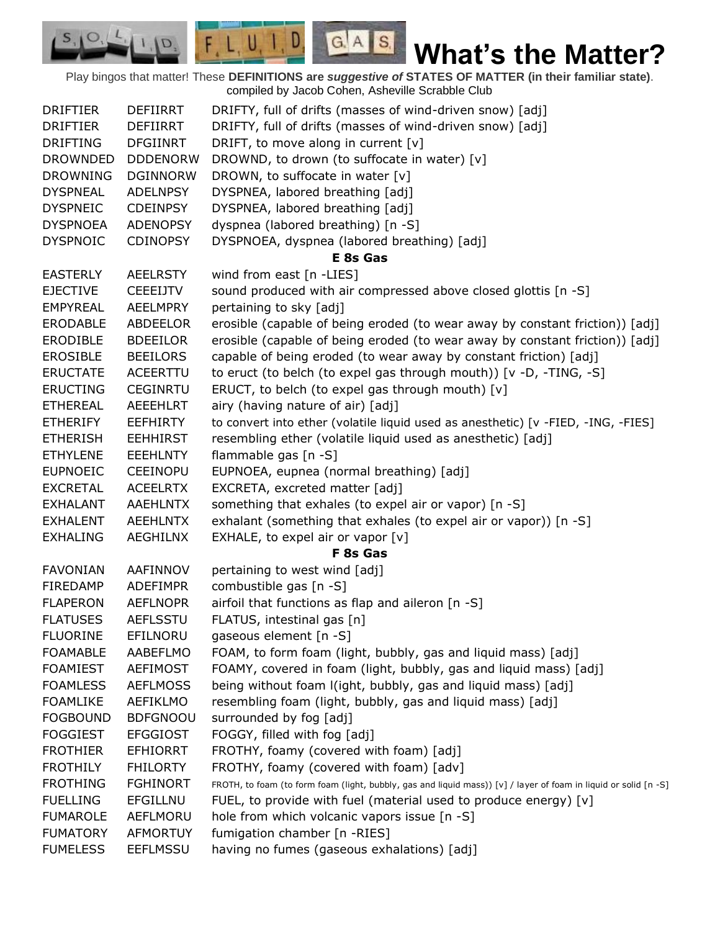Play bingos that matter! These **DEFINITIONS are** *suggestive of* **STATES OF MATTER (in their familiar state)**. compiled by Jacob Cohen, Asheville Scrabble Club DRIFTIER DEFIIRRT DRIFTY, full of drifts (masses of wind-driven snow) [adj] DRIFTIER DEFIIRRT DRIFTY, full of drifts (masses of wind-driven snow) [adj] DRIFTING DFGIINRT DRIFT, to move along in current [v] DROWNDED DDDENORW DROWND, to drown (to suffocate in water)  $[v]$ DROWNING DGINNORW DROWN, to suffocate in water [v] DYSPNEAL ADELNPSY DYSPNEA, labored breathing [adj] DYSPNEIC CDEINPSY DYSPNEA, labored breathing [adj] DYSPNOEA ADENOPSY dyspnea (labored breathing) [n -S] DYSPNOIC CDINOPSY DYSPNOEA, dyspnea (labored breathing) [adj] **E 8s Gas** EASTERLY AEELRSTY wind from east [n -LIES] EJECTIVE CEEEIJTV sound produced with air compressed above closed glottis [n -S] EMPYREAL AEELMPRY pertaining to sky [adj] ERODABLE ABDEELOR erosible (capable of being eroded (to wear away by constant friction)) [adj] ERODIBLE BDEEILOR erosible (capable of being eroded (to wear away by constant friction)) [adj] EROSIBLE BEEILORS capable of being eroded (to wear away by constant friction) [adj] ERUCTATE ACEERTTU to eruct (to belch (to expel gas through mouth)) [v -D, -TING, -S] ERUCTING CEGINRTU ERUCT, to belch (to expel gas through mouth)  $[v]$ ETHEREAL AEEEHLRT airy (having nature of air) [adj] ETHERIFY EEFHIRTY to convert into ether (volatile liquid used as anesthetic) [v -FIED, -ING, -FIES] ETHERISH EEHHIRST resembling ether (volatile liquid used as anesthetic) [adj] ETHYLENE EEEHLNTY flammable gas [n -S] EUPNOEIC CEEINOPU EUPNOEA, eupnea (normal breathing) [adj] EXCRETAL ACEELRTX EXCRETA, excreted matter [adj] EXHALANT AAEHLNTX something that exhales (to expel air or vapor) [n -S] EXHALENT AEEHLNTX exhalant (something that exhales (to expel air or vapor)) [n -S] EXHALING AEGHILNX EXHALE, to expel air or vapor [v] **F 8s Gas** FAVONIAN AAFINNOV pertaining to west wind [adj] FIREDAMP ADEFIMPR combustible gas [n -S] FLAPERON AEFLNOPR airfoil that functions as flap and aileron [n -S] FLATUSES AEFLSSTU FLATUS, intestinal gas [n] FLUORINE EFILNORU gaseous element [n -S] FOAMABLE AABEFLMO FOAM, to form foam (light, bubbly, gas and liquid mass) [adj] FOAMIEST AEFIMOST FOAMY, covered in foam (light, bubbly, gas and liquid mass) [adj] FOAMLESS AEFLMOSS being without foam l(ight, bubbly, gas and liquid mass) [adj] FOAMLIKE AEFIKLMO resembling foam (light, bubbly, gas and liquid mass) [adj] FOGBOUND BDFGNOOU surrounded by fog [adj] FOGGIEST EFGGIOST FOGGY, filled with fog [adj] FROTHIER EFHIORRT FROTHY, foamy (covered with foam) [adj] FROTHILY FHILORTY FROTHY, foamy (covered with foam) [adv] FROTHING FGHINORT FROTH, to foam (to form foam (light, bubbly, gas and liquid mass)) [v] / layer of foam in liquid or solid [n -S] FUELLING EFGILLNU FUEL, to provide with fuel (material used to produce energy) [v] FUMAROLE AEFLMORU hole from which volcanic vapors issue [n -S] FUMATORY AFMORTUY fumigation chamber [n -RIES] FUMELESS EEFLMSSU having no fumes (gaseous exhalations) [adj]

 $G.A.S.$ 

 $F L U, I, D$ 

 $|Q|$ , 1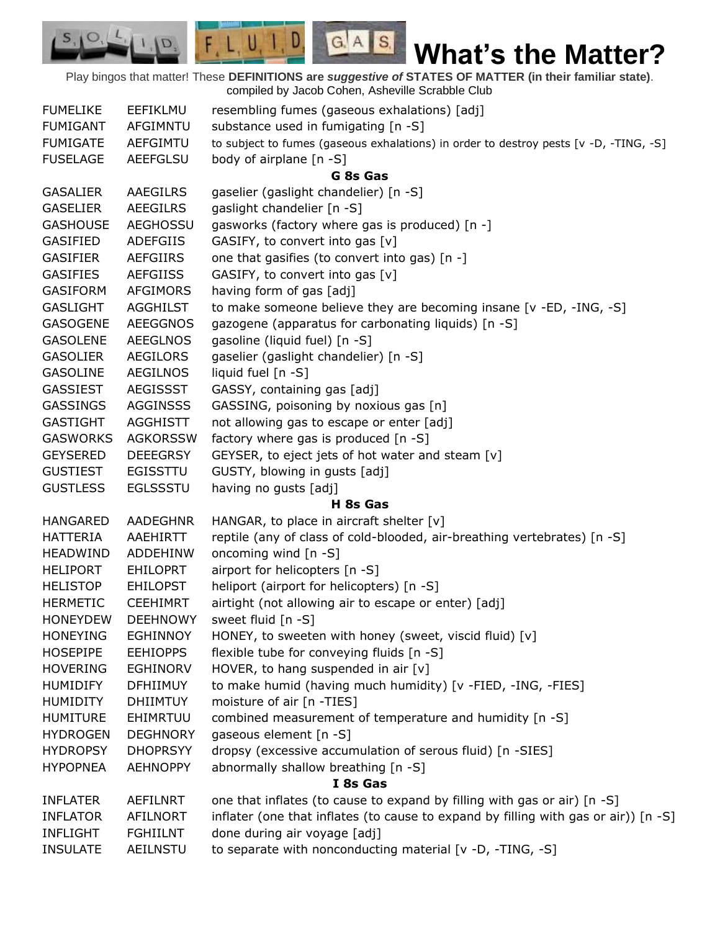Play bingos that matter! These **DEFINITIONS are** *suggestive of* **STATES OF MATTER (in their familiar state)**. compiled by Jacob Cohen, Asheville Scrabble Club

 $G.A.S.$ 

 $F, L, U, I, D$ 

D.

 $S_{1}$  $\mathcal{O},$ 

| <b>FUMELIKE</b> | EEFIKLMU        | resembling fumes (gaseous exhalations) [adj]                                          |
|-----------------|-----------------|---------------------------------------------------------------------------------------|
| <b>FUMIGANT</b> | AFGIMNTU        | substance used in fumigating [n -S]                                                   |
| <b>FUMIGATE</b> | AEFGIMTU        | to subject to fumes (gaseous exhalations) in order to destroy pests [v -D, -TING, -S] |
| <b>FUSELAGE</b> | <b>AEEFGLSU</b> | body of airplane [n -S]                                                               |
|                 |                 | G 8s Gas                                                                              |
| <b>GASALIER</b> | AAEGILRS        | gaselier (gaslight chandelier) [n -S]                                                 |
| <b>GASELIER</b> | AEEGILRS        | gaslight chandelier [n -S]                                                            |
| <b>GASHOUSE</b> | <b>AEGHOSSU</b> | gasworks (factory where gas is produced) [n -]                                        |
| <b>GASIFIED</b> | <b>ADEFGIIS</b> | GASIFY, to convert into gas [v]                                                       |
| <b>GASIFIER</b> | <b>AEFGIIRS</b> | one that gasifies (to convert into gas) [n -]                                         |
| <b>GASIFIES</b> | <b>AEFGIISS</b> | GASIFY, to convert into gas [v]                                                       |
| <b>GASIFORM</b> | <b>AFGIMORS</b> | having form of gas [adj]                                                              |
| <b>GASLIGHT</b> | <b>AGGHILST</b> | to make someone believe they are becoming insane [v -ED, -ING, -S]                    |
| <b>GASOGENE</b> | <b>AEEGGNOS</b> | gazogene (apparatus for carbonating liquids) [n -S]                                   |
| <b>GASOLENE</b> | <b>AEEGLNOS</b> | gasoline (liquid fuel) [n -S]                                                         |
| <b>GASOLIER</b> | <b>AEGILORS</b> | gaselier (gaslight chandelier) [n -S]                                                 |
| <b>GASOLINE</b> | <b>AEGILNOS</b> | liquid fuel [n -S]                                                                    |
| <b>GASSIEST</b> | <b>AEGISSST</b> | GASSY, containing gas [adj]                                                           |
| <b>GASSINGS</b> | <b>AGGINSSS</b> | GASSING, poisoning by noxious gas [n]                                                 |
| <b>GASTIGHT</b> | <b>AGGHISTT</b> | not allowing gas to escape or enter [adj]                                             |
| <b>GASWORKS</b> | <b>AGKORSSW</b> | factory where gas is produced [n -S]                                                  |
| <b>GEYSERED</b> | <b>DEEEGRSY</b> | GEYSER, to eject jets of hot water and steam [v]                                      |
| <b>GUSTIEST</b> | <b>EGISSTTU</b> | GUSTY, blowing in gusts [adj]                                                         |
| <b>GUSTLESS</b> | <b>EGLSSSTU</b> | having no gusts [adj]                                                                 |
|                 |                 | H 8s Gas                                                                              |
| <b>HANGARED</b> | AADEGHNR        | HANGAR, to place in aircraft shelter [v]                                              |
| <b>HATTERIA</b> | AAEHIRTT        | reptile (any of class of cold-blooded, air-breathing vertebrates) [n -S]              |
| <b>HEADWIND</b> | <b>ADDEHINW</b> | oncoming wind [n -S]                                                                  |
| <b>HELIPORT</b> | <b>EHILOPRT</b> | airport for helicopters [n -S]                                                        |
| <b>HELISTOP</b> | <b>EHILOPST</b> | heliport (airport for helicopters) [n -S]                                             |
| <b>HERMETIC</b> | <b>CEEHIMRT</b> | airtight (not allowing air to escape or enter) [adj]                                  |
| <b>HONEYDEW</b> | <b>DEEHNOWY</b> | sweet fluid [n -S]                                                                    |
| <b>HONEYING</b> | <b>EGHINNOY</b> | HONEY, to sweeten with honey (sweet, viscid fluid) [v]                                |
| <b>HOSEPIPE</b> | <b>EEHIOPPS</b> | flexible tube for conveying fluids [n -S]                                             |
| <b>HOVERING</b> | <b>EGHINORV</b> | HOVER, to hang suspended in air [v]                                                   |
| <b>HUMIDIFY</b> | <b>DFHIIMUY</b> | to make humid (having much humidity) [v -FIED, -ING, -FIES]                           |
| <b>HUMIDITY</b> | <b>DHIIMTUY</b> | moisture of air [n -TIES]                                                             |
| <b>HUMITURE</b> | EHIMRTUU        | combined measurement of temperature and humidity [n -S]                               |
| <b>HYDROGEN</b> | <b>DEGHNORY</b> | gaseous element [n -S]                                                                |
| <b>HYDROPSY</b> | <b>DHOPRSYY</b> | dropsy (excessive accumulation of serous fluid) [n -SIES]                             |
| <b>HYPOPNEA</b> | <b>AEHNOPPY</b> | abnormally shallow breathing [n -S]                                                   |
|                 |                 | I 8s Gas                                                                              |
| <b>INFLATER</b> | AEFILNRT        | one that inflates (to cause to expand by filling with gas or air) [n -S]              |
| <b>INFLATOR</b> | <b>AFILNORT</b> | inflater (one that inflates (to cause to expand by filling with gas or air)) [n -S]   |
| <b>INFLIGHT</b> | <b>FGHIILNT</b> | done during air voyage [adj]                                                          |
| <b>INSULATE</b> | AEILNSTU        | to separate with nonconducting material [v -D, -TING, -S]                             |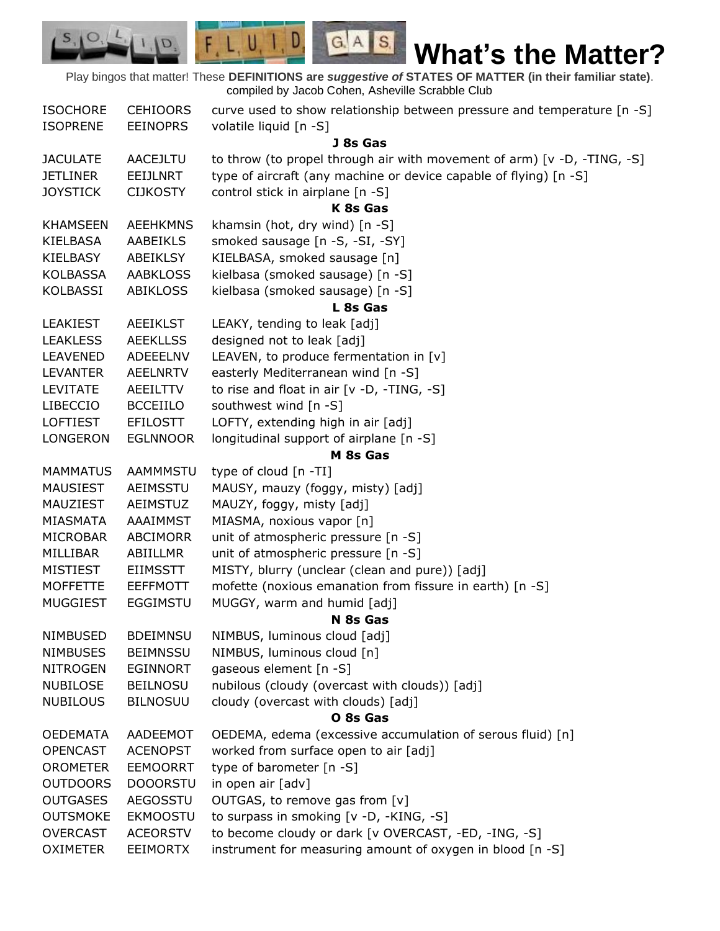Play bingos that matter! These **DEFINITIONS are** *suggestive of* **STATES OF MATTER (in their familiar state)**. compiled by Jacob Cohen, Asheville Scrabble Club

 $G.A.S.$ 

 $F, L, U, I, D$ 

D.

| <b>ISOCHORE</b> | <b>CEHIOORS</b> | curve used to show relationship between pressure and temperature [n -S] |
|-----------------|-----------------|-------------------------------------------------------------------------|
| <b>ISOPRENE</b> | <b>EEINOPRS</b> | volatile liquid [n -S]                                                  |
|                 |                 | J 8s Gas                                                                |
| <b>JACULATE</b> | AACEJLTU        | to throw (to propel through air with movement of arm) [v -D, -TING, -S] |
| <b>JETLINER</b> | <b>EEIJLNRT</b> | type of aircraft (any machine or device capable of flying) [n -S]       |
| <b>JOYSTICK</b> | <b>CIJKOSTY</b> | control stick in airplane [n -S]                                        |
|                 |                 | K 8s Gas                                                                |
| <b>KHAMSEEN</b> | <b>AEEHKMNS</b> | khamsin (hot, dry wind) [n -S]                                          |
| <b>KIELBASA</b> | <b>AABEIKLS</b> | smoked sausage [n -S, -SI, -SY]                                         |
| <b>KIELBASY</b> | ABEIKLSY        | KIELBASA, smoked sausage [n]                                            |
| <b>KOLBASSA</b> | <b>AABKLOSS</b> | kielbasa (smoked sausage) [n -S]                                        |
| <b>KOLBASSI</b> | <b>ABIKLOSS</b> | kielbasa (smoked sausage) [n -S]                                        |
|                 |                 | L 8s Gas                                                                |
| <b>LEAKIEST</b> | <b>AEEIKLST</b> | LEAKY, tending to leak [adj]                                            |
| <b>LEAKLESS</b> | <b>AEEKLLSS</b> | designed not to leak [adj]                                              |
| <b>LEAVENED</b> | ADEEELNV        | LEAVEN, to produce fermentation in [v]                                  |
| <b>LEVANTER</b> | AEELNRTV        | easterly Mediterranean wind [n -S]                                      |
| <b>LEVITATE</b> | AEEILTTV        | to rise and float in air [v -D, -TING, -S]                              |
| <b>LIBECCIO</b> | <b>BCCEIILO</b> | southwest wind [n -S]                                                   |
| <b>LOFTIEST</b> | <b>EFILOSTT</b> | LOFTY, extending high in air [adj]                                      |
| LONGERON        | <b>EGLNNOOR</b> | longitudinal support of airplane [n -S]                                 |
|                 |                 | M 8s Gas                                                                |
| <b>MAMMATUS</b> | <b>AAMMMSTU</b> | type of cloud [n -TI]                                                   |
| <b>MAUSIEST</b> | AEIMSSTU        | MAUSY, mauzy (foggy, misty) [adj]                                       |
| MAUZIEST        | AEIMSTUZ        | MAUZY, foggy, misty [adj]                                               |
| MIASMATA        | AAAIMMST        | MIASMA, noxious vapor [n]                                               |
| <b>MICROBAR</b> | <b>ABCIMORR</b> | unit of atmospheric pressure [n -S]                                     |
| MILLIBAR        | ABIILLMR        | unit of atmospheric pressure [n -S]                                     |
| <b>MISTIEST</b> | <b>EIIMSSTT</b> | MISTY, blurry (unclear (clean and pure)) [adj]                          |
| <b>MOFFETTE</b> | <b>EEFFMOTT</b> | mofette (noxious emanation from fissure in earth) [n -S]                |
| <b>MUGGIEST</b> | <b>EGGIMSTU</b> | MUGGY, warm and humid [adj]                                             |
|                 |                 | N 8s Gas                                                                |
| NIMBUSED        | <b>BDEIMNSU</b> | NIMBUS, luminous cloud [adj]                                            |
| <b>NIMBUSES</b> | <b>BEIMNSSU</b> | NIMBUS, luminous cloud [n]                                              |
| <b>NITROGEN</b> | <b>EGINNORT</b> | gaseous element [n -S]                                                  |
| <b>NUBILOSE</b> | <b>BEILNOSU</b> | nubilous (cloudy (overcast with clouds)) [adj]                          |
| <b>NUBILOUS</b> | <b>BILNOSUU</b> | cloudy (overcast with clouds) [adj]                                     |
|                 |                 | O 8s Gas                                                                |
| <b>OEDEMATA</b> | AADEEMOT        | OEDEMA, edema (excessive accumulation of serous fluid) [n]              |
| <b>OPENCAST</b> | <b>ACENOPST</b> | worked from surface open to air [adj]                                   |
| <b>OROMETER</b> | <b>EEMOORRT</b> | type of barometer [n -S]                                                |
| <b>OUTDOORS</b> | <b>DOOORSTU</b> | in open air [adv]                                                       |
| <b>OUTGASES</b> | AEGOSSTU        | OUTGAS, to remove gas from [v]                                          |
| <b>OUTSMOKE</b> | <b>EKMOOSTU</b> | to surpass in smoking [v -D, -KING, -S]                                 |
| <b>OVERCAST</b> | <b>ACEORSTV</b> | to become cloudy or dark [v OVERCAST, -ED, -ING, -S]                    |
| <b>OXIMETER</b> | <b>EEIMORTX</b> | instrument for measuring amount of oxygen in blood [n -S]               |
|                 |                 |                                                                         |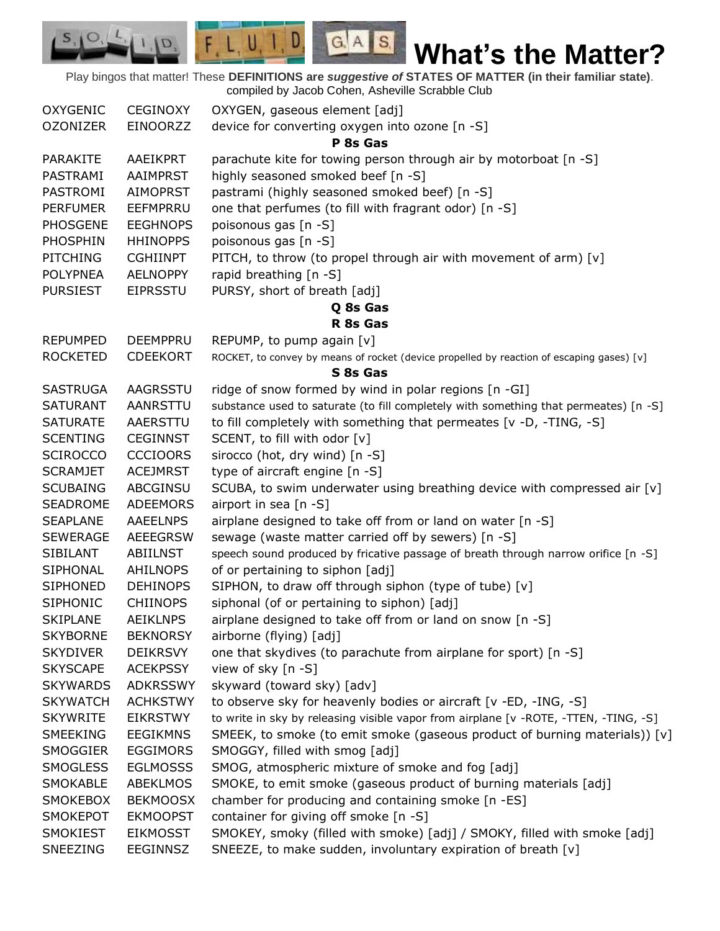|          |          | Play bingos that matter! These DEFINITIONS are <i>suggestive of</i> STATES OF MATTER (in their familiar state).<br>compiled by Jacob Cohen, Asheville Scrabble Club |
|----------|----------|---------------------------------------------------------------------------------------------------------------------------------------------------------------------|
| OXYGENIC | CEGINOXY | OXYGEN, gaseous element [adj]                                                                                                                                       |

 $S_1$  O, L,

| <b>OZONIZER</b> | <b>EINOORZZ</b> | device for converting oxygen into ozone [n -S]                                            |
|-----------------|-----------------|-------------------------------------------------------------------------------------------|
|                 |                 | P 8s Gas                                                                                  |
| <b>PARAKITE</b> | AAEIKPRT        | parachute kite for towing person through air by motorboat [n -S]                          |
| PASTRAMI        | AAIMPRST        | highly seasoned smoked beef [n -S]                                                        |
| PASTROMI        | <b>AIMOPRST</b> | pastrami (highly seasoned smoked beef) [n -S]                                             |
| <b>PERFUMER</b> | <b>EEFMPRRU</b> | one that perfumes (to fill with fragrant odor) [n -S]                                     |
| <b>PHOSGENE</b> | <b>EEGHNOPS</b> | poisonous gas [n -S]                                                                      |
| PHOSPHIN        | <b>HHINOPPS</b> | poisonous gas [n -S]                                                                      |
| <b>PITCHING</b> | <b>CGHIINPT</b> | PITCH, to throw (to propel through air with movement of arm) [v]                          |
| <b>POLYPNEA</b> | <b>AELNOPPY</b> | rapid breathing [n -S]                                                                    |
| <b>PURSIEST</b> | <b>EIPRSSTU</b> | PURSY, short of breath [adj]                                                              |
|                 |                 | Q 8s Gas                                                                                  |
|                 |                 | R 8s Gas                                                                                  |
| <b>REPUMPED</b> | <b>DEEMPPRU</b> | REPUMP, to pump again [v]                                                                 |
| <b>ROCKETED</b> | <b>CDEEKORT</b> | ROCKET, to convey by means of rocket (device propelled by reaction of escaping gases) [v] |
|                 |                 | S 8s Gas                                                                                  |
| <b>SASTRUGA</b> | AAGRSSTU        | ridge of snow formed by wind in polar regions [n -GI]                                     |
| <b>SATURANT</b> | AANRSTTU        | substance used to saturate (to fill completely with something that permeates) [n -S]      |
| <b>SATURATE</b> | AAERSTTU        | to fill completely with something that permeates [v -D, -TING, -S]                        |
| <b>SCENTING</b> | <b>CEGINNST</b> | SCENT, to fill with odor [v]                                                              |
| <b>SCIROCCO</b> | <b>CCCIOORS</b> | sirocco (hot, dry wind) [n -S]                                                            |
| <b>SCRAMJET</b> | <b>ACEJMRST</b> | type of aircraft engine [n -S]                                                            |
| <b>SCUBAING</b> | ABCGINSU        | SCUBA, to swim underwater using breathing device with compressed air $[v]$                |
| <b>SEADROME</b> | <b>ADEEMORS</b> | airport in sea [n -S]                                                                     |
| <b>SEAPLANE</b> | <b>AAEELNPS</b> | airplane designed to take off from or land on water [n -S]                                |
| <b>SEWERAGE</b> | <b>AEEEGRSW</b> | sewage (waste matter carried off by sewers) [n -S]                                        |
| <b>SIBILANT</b> | ABIILNST        | speech sound produced by fricative passage of breath through narrow orifice [n -S]        |
| SIPHONAL        | AHILNOPS        | of or pertaining to siphon [adj]                                                          |
| <b>SIPHONED</b> | <b>DEHINOPS</b> | SIPHON, to draw off through siphon (type of tube) [v]                                     |
| <b>SIPHONIC</b> | <b>CHIINOPS</b> | siphonal (of or pertaining to siphon) [adj]                                               |
| <b>SKIPLANE</b> | AEIKLNPS        | airplane designed to take off from or land on snow [n -S]                                 |
| <b>SKYBORNE</b> | <b>BEKNORSY</b> | airborne (flying) [adj]                                                                   |
| <b>SKYDIVER</b> | <b>DEIKRSVY</b> | one that skydives (to parachute from airplane for sport) [n -S]                           |
| <b>SKYSCAPE</b> | <b>ACEKPSSY</b> | view of sky [n -S]                                                                        |
| <b>SKYWARDS</b> | <b>ADKRSSWY</b> | skyward (toward sky) [adv]                                                                |
| <b>SKYWATCH</b> | <b>ACHKSTWY</b> | to observe sky for heavenly bodies or aircraft [v -ED, -ING, -S]                          |
| <b>SKYWRITE</b> | <b>EIKRSTWY</b> | to write in sky by releasing visible vapor from airplane [v -ROTE, -TTEN, -TING, -S]      |
| SMEEKING        | <b>EEGIKMNS</b> | SMEEK, to smoke (to emit smoke (gaseous product of burning materials)) $[v]$              |
| SMOGGIER        | <b>EGGIMORS</b> | SMOGGY, filled with smog [adj]                                                            |
| <b>SMOGLESS</b> | <b>EGLMOSSS</b> | SMOG, atmospheric mixture of smoke and fog [adj]                                          |
| <b>SMOKABLE</b> | <b>ABEKLMOS</b> | SMOKE, to emit smoke (gaseous product of burning materials [adj]                          |
| <b>SMOKEBOX</b> | <b>BEKMOOSX</b> | chamber for producing and containing smoke [n -ES]                                        |
| <b>SMOKEPOT</b> | <b>EKMOOPST</b> | container for giving off smoke [n -S]                                                     |
| SMOKIEST        | <b>EIKMOSST</b> | SMOKEY, smoky (filled with smoke) [adj] / SMOKY, filled with smoke [adj]                  |
| SNEEZING        | EEGINNSZ        | SNEEZE, to make sudden, involuntary expiration of breath [v]                              |
|                 |                 |                                                                                           |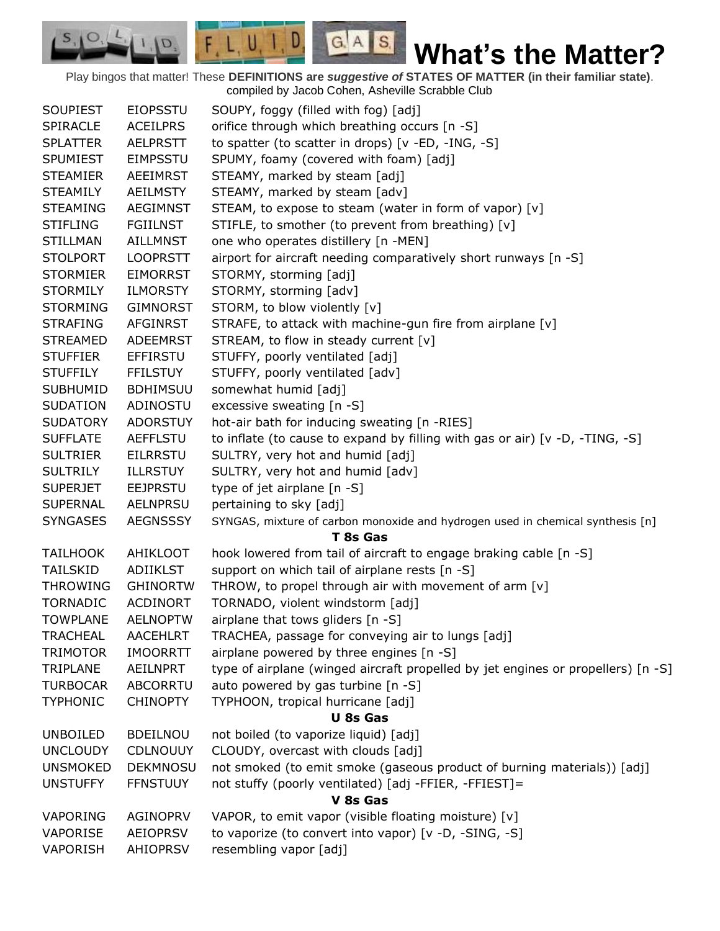Play bingos that matter! These **DEFINITIONS are** *suggestive of* **STATES OF MATTER (in their familiar state)**. compiled by Jacob Cohen, Asheville Scrabble Club

 $G.A.S.$ 

 $F, L, U, I, D$ 

D.

| <b>SOUPIEST</b> | <b>EIOPSSTU</b> | SOUPY, foggy (filled with fog) [adj]                                             |
|-----------------|-----------------|----------------------------------------------------------------------------------|
| SPIRACLE        | <b>ACEILPRS</b> | orifice through which breathing occurs [n -S]                                    |
| <b>SPLATTER</b> | <b>AELPRSTT</b> | to spatter (to scatter in drops) [v -ED, -ING, -S]                               |
| <b>SPUMIEST</b> | <b>EIMPSSTU</b> | SPUMY, foamy (covered with foam) [adj]                                           |
| <b>STEAMIER</b> | <b>AEEIMRST</b> | STEAMY, marked by steam [adj]                                                    |
| <b>STEAMILY</b> | <b>AEILMSTY</b> | STEAMY, marked by steam [adv]                                                    |
| <b>STEAMING</b> | <b>AEGIMNST</b> | STEAM, to expose to steam (water in form of vapor) [v]                           |
| <b>STIFLING</b> | <b>FGIILNST</b> | STIFLE, to smother (to prevent from breathing) [v]                               |
| <b>STILLMAN</b> | <b>AILLMNST</b> | one who operates distillery [n -MEN]                                             |
| <b>STOLPORT</b> | <b>LOOPRSTT</b> | airport for aircraft needing comparatively short runways [n -S]                  |
| <b>STORMIER</b> | <b>EIMORRST</b> | STORMY, storming [adj]                                                           |
| <b>STORMILY</b> | <b>ILMORSTY</b> | STORMY, storming [adv]                                                           |
| <b>STORMING</b> | <b>GIMNORST</b> | STORM, to blow violently [v]                                                     |
| <b>STRAFING</b> | AFGINRST        | STRAFE, to attack with machine-gun fire from airplane [v]                        |
| <b>STREAMED</b> | <b>ADEEMRST</b> | STREAM, to flow in steady current [v]                                            |
| <b>STUFFIER</b> | <b>EFFIRSTU</b> | STUFFY, poorly ventilated [adj]                                                  |
| <b>STUFFILY</b> | <b>FFILSTUY</b> | STUFFY, poorly ventilated [adv]                                                  |
| <b>SUBHUMID</b> | <b>BDHIMSUU</b> | somewhat humid [adj]                                                             |
| <b>SUDATION</b> | ADINOSTU        | excessive sweating $[n - S]$                                                     |
| <b>SUDATORY</b> | <b>ADORSTUY</b> | hot-air bath for inducing sweating [n -RIES]                                     |
| <b>SUFFLATE</b> | <b>AEFFLSTU</b> | to inflate (to cause to expand by filling with gas or air) $[v -D, -TING, -S]$   |
| <b>SULTRIER</b> | <b>EILRRSTU</b> | SULTRY, very hot and humid [adj]                                                 |
| <b>SULTRILY</b> | <b>ILLRSTUY</b> | SULTRY, very hot and humid [adv]                                                 |
| <b>SUPERJET</b> | <b>EEJPRSTU</b> | type of jet airplane [n -S]                                                      |
| <b>SUPERNAL</b> | <b>AELNPRSU</b> | pertaining to sky [adj]                                                          |
| <b>SYNGASES</b> | <b>AEGNSSSY</b> | SYNGAS, mixture of carbon monoxide and hydrogen used in chemical synthesis [n]   |
|                 |                 | T 8s Gas                                                                         |
| <b>TAILHOOK</b> | AHIKLOOT        | hook lowered from tail of aircraft to engage braking cable [n -S]                |
| <b>TAILSKID</b> | <b>ADIIKLST</b> | support on which tail of airplane rests [n -S]                                   |
| <b>THROWING</b> | <b>GHINORTW</b> | THROW, to propel through air with movement of arm [v]                            |
| <b>TORNADIC</b> | <b>ACDINORT</b> | TORNADO, violent windstorm [adj]                                                 |
| <b>TOWPLANE</b> | <b>AELNOPTW</b> | airplane that tows gliders [n -S]                                                |
| <b>TRACHEAL</b> | <b>AACEHLRT</b> | TRACHEA, passage for conveying air to lungs [adj]                                |
| <b>TRIMOTOR</b> | <b>IMOORRTT</b> | airplane powered by three engines [n -S]                                         |
| TRIPLANE        | <b>AEILNPRT</b> | type of airplane (winged aircraft propelled by jet engines or propellers) [n -S] |
| <b>TURBOCAR</b> | <b>ABCORRTU</b> | auto powered by gas turbine [n -S]                                               |
| <b>TYPHONIC</b> | <b>CHINOPTY</b> | TYPHOON, tropical hurricane [adj]                                                |
|                 |                 | <b>U</b> 8s Gas                                                                  |
| <b>UNBOILED</b> | <b>BDEILNOU</b> | not boiled (to vaporize liquid) [adj]                                            |
| <b>UNCLOUDY</b> | <b>CDLNOUUY</b> | CLOUDY, overcast with clouds [adj]                                               |
| <b>UNSMOKED</b> | <b>DEKMNOSU</b> | not smoked (to emit smoke (gaseous product of burning materials)) [adj]          |
| <b>UNSTUFFY</b> | <b>FFNSTUUY</b> | not stuffy (poorly ventilated) [adj -FFIER, -FFIEST]=                            |
|                 |                 | V 8s Gas                                                                         |
| VAPORING        | <b>AGINOPRV</b> | VAPOR, to emit vapor (visible floating moisture) [v]                             |
| <b>VAPORISE</b> | <b>AEIOPRSV</b> | to vaporize (to convert into vapor) [v -D, -SING, -S]                            |
| <b>VAPORISH</b> | <b>AHIOPRSV</b> | resembling vapor [adj]                                                           |